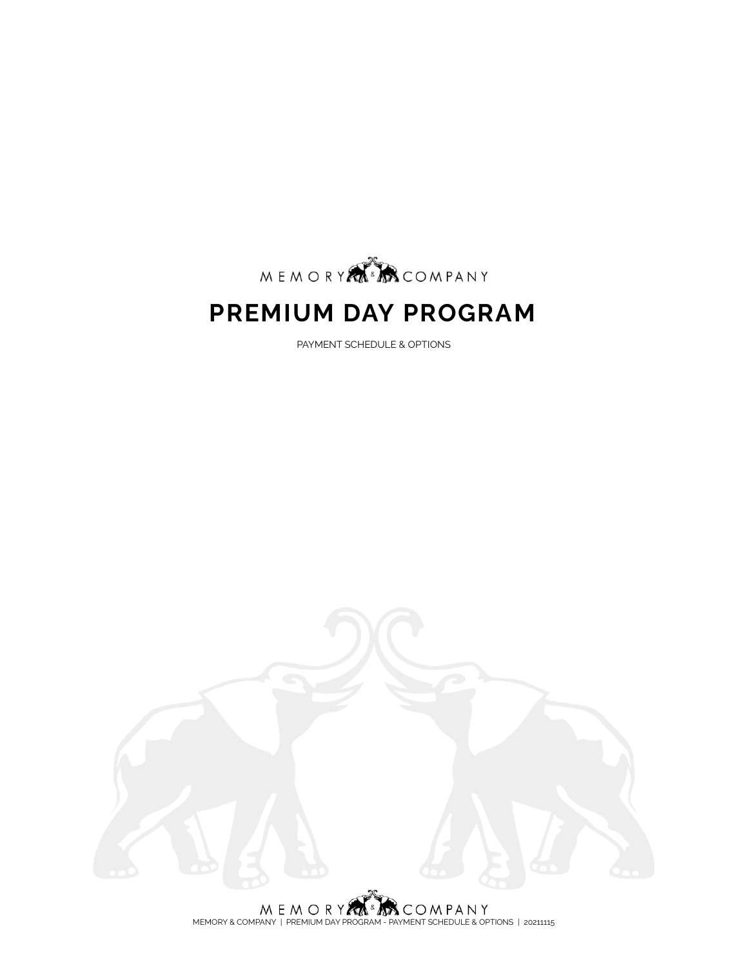

# **PREMIUM DAY PROGRAM**

PAYMENT SCHEDULE & OPTIONS



 $\begin{array}{c} \mathsf{M} \mathsf{E} \mathsf{M} \mathsf{O} \mathsf{R} \mathsf{Y} \overbrace{\mathsf{R} \mathsf{M}}^{\&} \mathsf{A} \mathsf{S} \mathsf{C} \mathsf{O} \mathsf{M} \mathsf{P} \mathsf{A} \mathsf{N} \mathsf{Y} \\ \mathsf{M} \mathsf{EM} \mathsf{O}\mathsf{R} \mathsf{Y} \mathsf{R} \mathsf{C} \mathsf{O} \mathsf{R} \mathsf{M} \mathsf{P} \mathsf{R} \mathsf{O} \mathsf{M} \mathsf{P} \mathsf{R} \mathsf{D} \math$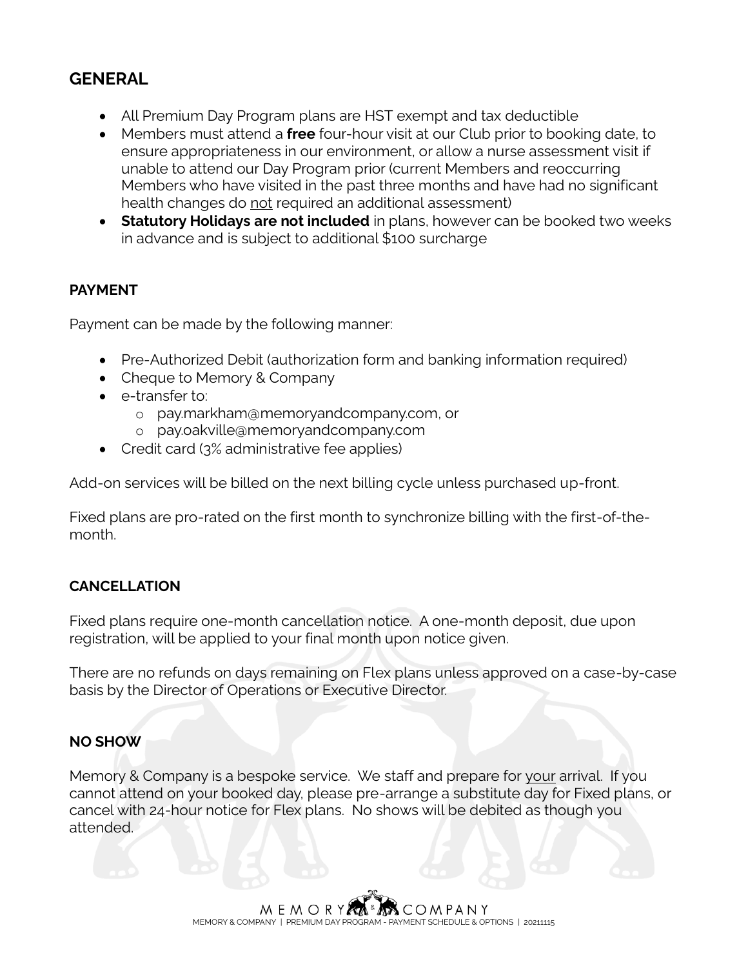## **GENERAL**

- All Premium Day Program plans are HST exempt and tax deductible
- Members must attend a **free** four-hour visit at our Club prior to booking date, to ensure appropriateness in our environment, or allow a nurse assessment visit if unable to attend our Day Program prior (current Members and reoccurring Members who have visited in the past three months and have had no significant health changes do not required an additional assessment)
- **Statutory Holidays are not included** in plans, however can be booked two weeks in advance and is subject to additional \$100 surcharge

#### **PAYMENT**

Payment can be made by the following manner:

- Pre-Authorized Debit (authorization form and banking information required)
- Cheque to Memory & Company
- e-transfer to:
	- o pay.markha[m@memoryandcompany.com,](mailto:info@memoryandcompany.com) or
	- o pay.oakville@memoryandcompany.com
- Credit card (3% administrative fee applies)

Add-on services will be billed on the next billing cycle unless purchased up-front.

Fixed plans are pro-rated on the first month to synchronize billing with the first-of-themonth.

#### **CANCELLATION**

Fixed plans require one-month cancellation notice. A one-month deposit, due upon registration, will be applied to your final month upon notice given.

There are no refunds on days remaining on Flex plans unless approved on a case-by-case basis by the Director of Operations or Executive Director.

#### **NO SHOW**

Memory & Company is a bespoke service. We staff and prepare for your arrival. If you cannot attend on your booked day, please pre-arrange a substitute day for Fixed plans, or cancel with 24-hour notice for Flex plans. No shows will be debited as though you attended.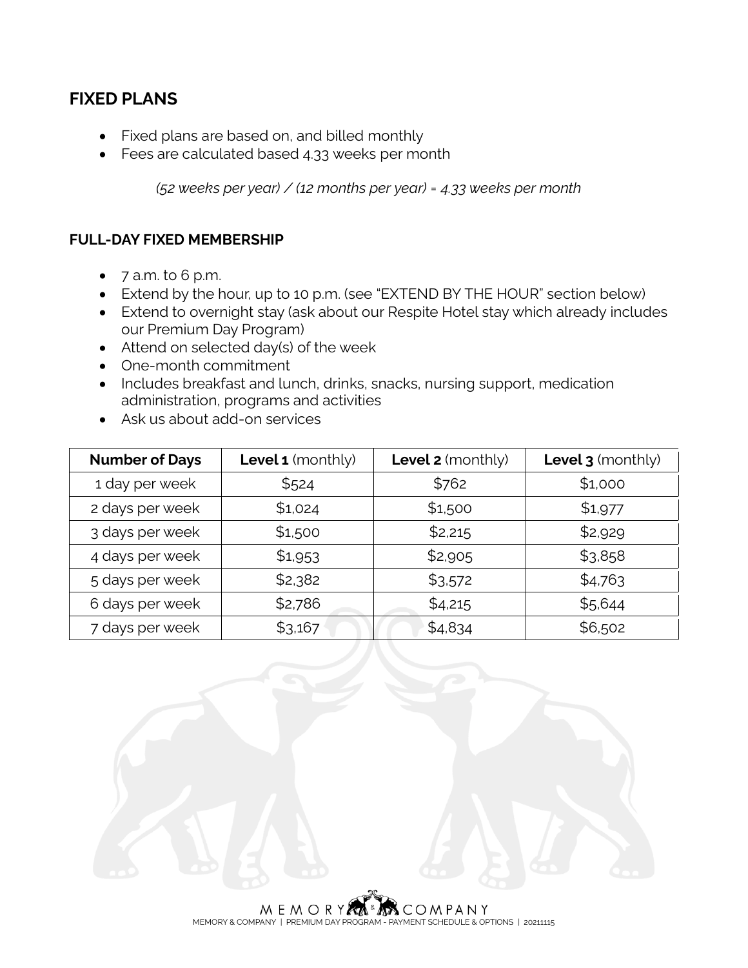### **FIXED PLANS**

- Fixed plans are based on, and billed monthly
- Fees are calculated based 4.33 weeks per month

*(52 weeks per year) / (12 months per year) = 4.33 weeks per month*

#### **FULL-DAY FIXED MEMBERSHIP**

- 7 a.m. to 6 p.m.
- Extend by the hour, up to 10 p.m. (see "EXTEND BY THE HOUR" section below)
- Extend to overnight stay (ask about our Respite Hotel stay which already includes our Premium Day Program)
- Attend on selected day(s) of the week
- One-month commitment
- Includes breakfast and lunch, drinks, snacks, nursing support, medication administration, programs and activities
- Ask us about add-on services

| <b>Number of Days</b> | <b>Level 1</b> (monthly) | Level 2 (monthly) | Level 3 (monthly) |
|-----------------------|--------------------------|-------------------|-------------------|
| 1 day per week        | \$524                    | \$762             | \$1,000           |
| 2 days per week       | \$1,024                  | \$1,500           | \$1,977           |
| 3 days per week       | \$1,500                  | \$2,215           | \$2,929           |
| 4 days per week       | \$1,953                  | \$2,905           | \$3,858           |
| 5 days per week       | \$2,382                  | \$3,572           | \$4,763           |
| 6 days per week       | \$2,786                  | \$4,215           | \$5,644           |
| 7 days per week       | \$3,167                  | \$4,834           | \$6,502           |

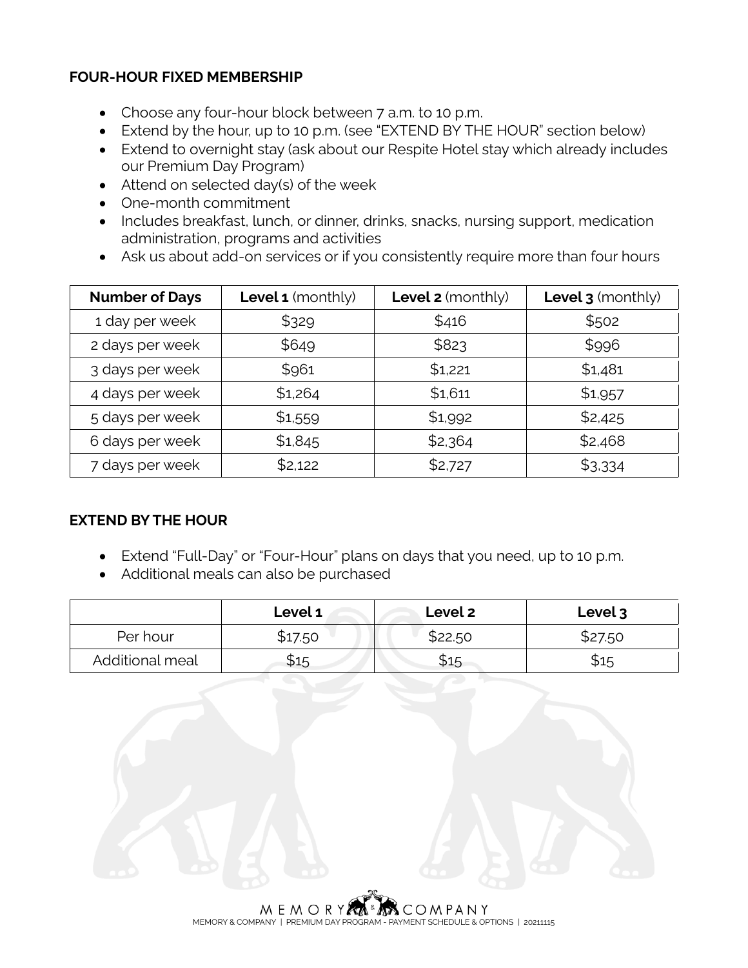#### **FOUR-HOUR FIXED MEMBERSHIP**

- Choose any four-hour block between 7 a.m. to 10 p.m.
- Extend by the hour, up to 10 p.m. (see "EXTEND BY THE HOUR" section below)
- Extend to overnight stay (ask about our Respite Hotel stay which already includes our Premium Day Program)
- Attend on selected day(s) of the week
- One-month commitment
- Includes breakfast, lunch, or dinner, drinks, snacks, nursing support, medication administration, programs and activities
- Ask us about add-on services or if you consistently require more than four hours

| <b>Number of Days</b> | <b>Level 1</b> (monthly) | <b>Level 2</b> (monthly) | Level 3 (monthly) |
|-----------------------|--------------------------|--------------------------|-------------------|
| 1 day per week        | \$329                    | \$416                    | \$502             |
| 2 days per week       | \$649                    | \$823                    | \$996             |
| 3 days per week       | \$961                    | \$1,221                  | \$1,481           |
| 4 days per week       | \$1,264                  | \$1,611                  | \$1,957           |
| 5 days per week       | \$1,559                  | \$1,992                  | \$2,425           |
| 6 days per week       | \$1,845                  | \$2,364                  | \$2,468           |
| 7 days per week       | \$2,122                  | \$2,727                  | \$3,334           |

#### **EXTEND BY THE HOUR**

- Extend "Full-Day" or "Four-Hour" plans on days that you need, up to 10 p.m.
- Additional meals can also be purchased

|                 | Level 1 | Level 2 | Level 3 |
|-----------------|---------|---------|---------|
| Per hour        | \$17.50 | \$22.50 | \$27.50 |
| Additional meal | \$15    | \$15    | \$15    |

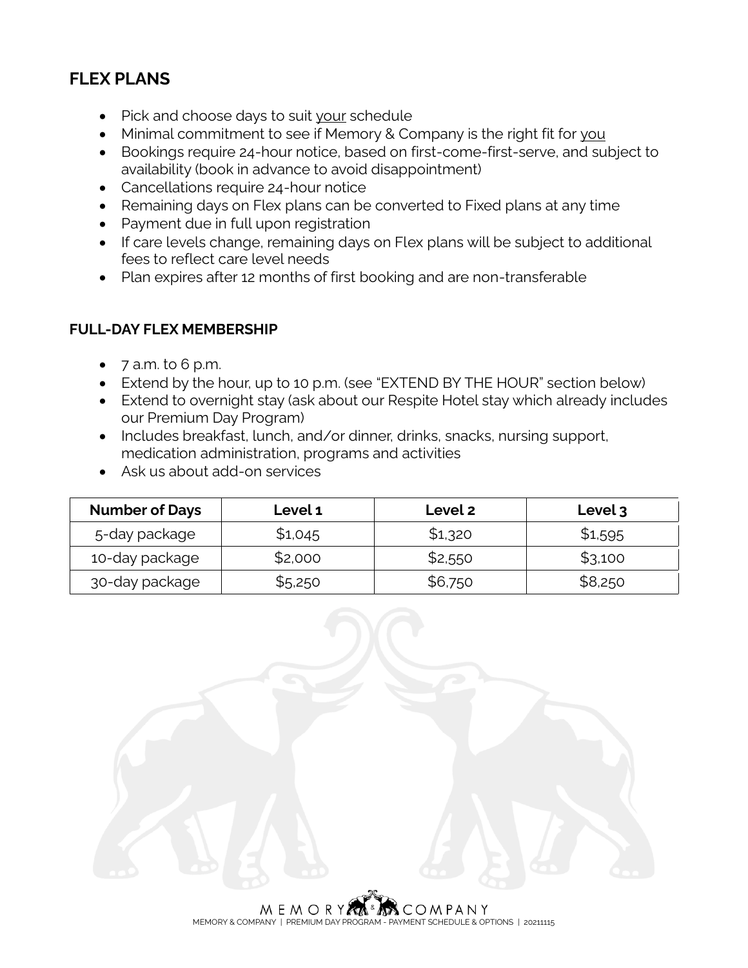## **FLEX PLANS**

- Pick and choose days to suit your schedule
- Minimal commitment to see if Memory & Company is the right fit for you
- Bookings require 24-hour notice, based on first-come-first-serve, and subject to availability (book in advance to avoid disappointment)
- Cancellations require 24-hour notice
- Remaining days on Flex plans can be converted to Fixed plans at any time
- Payment due in full upon registration
- If care levels change, remaining days on Flex plans will be subject to additional fees to reflect care level needs
- Plan expires after 12 months of first booking and are non-transferable

#### **FULL-DAY FLEX MEMBERSHIP**

- $\bullet$  7 a.m. to 6 p.m.
- Extend by the hour, up to 10 p.m. (see "EXTEND BY THE HOUR" section below)
- Extend to overnight stay (ask about our Respite Hotel stay which already includes our Premium Day Program)
- Includes breakfast, lunch, and/or dinner, drinks, snacks, nursing support, medication administration, programs and activities
- Ask us about add-on services

| <b>Number of Days</b> | <b>Level 1</b> | Level 2 | Level 3 |
|-----------------------|----------------|---------|---------|
| 5-day package         | \$1,045        | \$1,320 | \$1,595 |
| 10-day package        | \$2,000        | \$2,550 | \$3,100 |
| 30-day package        | \$5,250        | \$6,750 | \$8,250 |



MEMORY & COMPANY | PREMIUM DAY PROGRAM - PAYMENT SCHEDULE & OPTIONS | 20211115